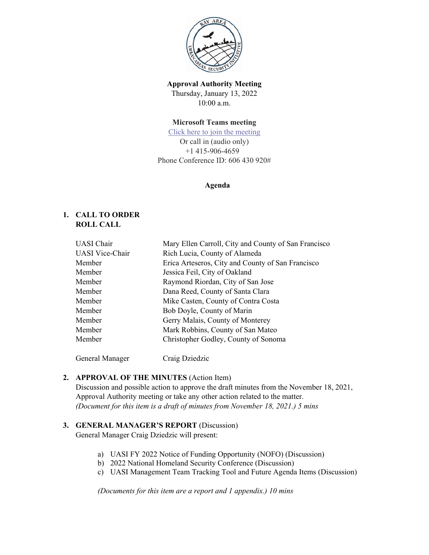

**Approval Authority Meeting** Thursday, January 13, 2022 10:00 a.m.

### **Microsoft Teams meeting**

[Click here to join the meeting](https://gcc02.safelinks.protection.outlook.com/ap/t-59584e83/?url=https%3A%2F%2Fteams.microsoft.com%2Fl%2Fmeetup-join%2F19%253ameeting_MTQ1YTc0ZGEtNDhkNS00NWFiLWJhYjEtODYzOGM1MDUyODJm%2540thread.v2%2F0%3Fcontext%3D%257b%2522Tid%2522%253a%252222d5c2cf-ce3e-443d-9a7f-dfcc0231f73f%2522%252c%2522Oid%2522%253a%2522fdf09dbf-e1a0-4fa9-8936-ebcb47859eb9%2522%257d&data=04%7C01%7Csara.cox%40sfgov.org%7C58519aa2e9974fd48bbe08d9c4d53f67%7C22d5c2cfce3e443d9a7fdfcc0231f73f%7C0%7C0%7C637757242430775150%7CUnknown%7CTWFpbGZsb3d8eyJWIjoiMC4wLjAwMDAiLCJQIjoiV2luMzIiLCJBTiI6Ik1haWwiLCJXVCI6Mn0%3D%7C3000&sdata=i2BqvDBYFl869%2Fmw0BfwGkQNXsqtLvzbm1EJIr8cZbI%3D&reserved=0) Or call in (audio only) +1 415-906-4659 Phone Conference ID: 606 430 920#

#### **Agenda**

## **1. CALL TO ORDER ROLL CALL**

| <b>UASI</b> Chair      | Mary Ellen Carroll, City and County of San Francisco |
|------------------------|------------------------------------------------------|
| <b>UASI</b> Vice-Chair | Rich Lucia, County of Alameda                        |
| Member                 | Erica Arteseros, City and County of San Francisco    |
| Member                 | Jessica Feil, City of Oakland                        |
| Member                 | Raymond Riordan, City of San Jose                    |
| Member                 | Dana Reed, County of Santa Clara                     |
| Member                 | Mike Casten, County of Contra Costa                  |
| Member                 | Bob Doyle, County of Marin                           |
| Member                 | Gerry Malais, County of Monterey                     |
| Member                 | Mark Robbins, County of San Mateo                    |
| Member                 | Christopher Godley, County of Sonoma                 |
|                        |                                                      |

General Manager Craig Dziedzic

# **2. APPROVAL OF THE MINUTES** (Action Item)

Discussion and possible action to approve the draft minutes from the November 18, 2021, Approval Authority meeting or take any other action related to the matter. *(Document for this item is a draft of minutes from November 18, 2021.) 5 mins*

#### **3. GENERAL MANAGER'S REPORT** (Discussion)

General Manager Craig Dziedzic will present:

- a) UASI FY 2022 Notice of Funding Opportunity (NOFO) (Discussion)
- b) 2022 National Homeland Security Conference (Discussion)
- c) UASI Management Team Tracking Tool and Future Agenda Items (Discussion)

*(Documents for this item are a report and 1 appendix.) 10 mins*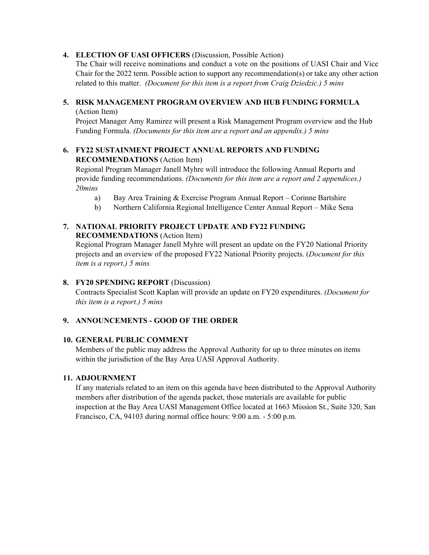### **4. ELECTION OF UASI OFFICERS** (Discussion, Possible Action)

The Chair will receive nominations and conduct a vote on the positions of UASI Chair and Vice Chair for the 2022 term. Possible action to support any recommendation(s) or take any other action related to this matter. *(Document for this item is a report from Craig Dziedzic.) 5 mins*

# **5. RISK MANAGEMENT PROGRAM OVERVIEW AND HUB FUNDING FORMULA**

(Action Item)

Project Manager Amy Ramirez will present a Risk Management Program overview and the Hub Funding Formula. *(Documents for this item are a report and an appendix.) 5 mins*

# **6. FY22 SUSTAINMENT PROJECT ANNUAL REPORTS AND FUNDING RECOMMENDATIONS** (Action Item)

Regional Program Manager Janell Myhre will introduce the following Annual Reports and provide funding recommendations. *(Documents for this item are a report and 2 appendices.) 20mins*

- a) Bay Area Training & Exercise Program Annual Report Corinne Bartshire
- b) Northern California Regional Intelligence Center Annual Report Mike Sena

# **7. NATIONAL PRIORITY PROJECT UPDATE AND FY22 FUNDING RECOMMENDATIONS** (Action Item)

Regional Program Manager Janell Myhre will present an update on the FY20 National Priority projects and an overview of the proposed FY22 National Priority projects. (*Document for this item is a report.) 5 mins*

# **8. FY20 SPENDING REPORT** (Discussion)

Contracts Specialist Scott Kaplan will provide an update on FY20 expenditures. *(Document for this item is a report.) 5 mins*

# **9. ANNOUNCEMENTS - GOOD OF THE ORDER**

# **10. GENERAL PUBLIC COMMENT**

Members of the public may address the Approval Authority for up to three minutes on items within the jurisdiction of the Bay Area UASI Approval Authority.

#### **11. ADJOURNMENT**

If any materials related to an item on this agenda have been distributed to the Approval Authority members after distribution of the agenda packet, those materials are available for public inspection at the Bay Area UASI Management Office located at 1663 Mission St., Suite 320, San Francisco, CA, 94103 during normal office hours: 9:00 a.m. - 5:00 p.m.